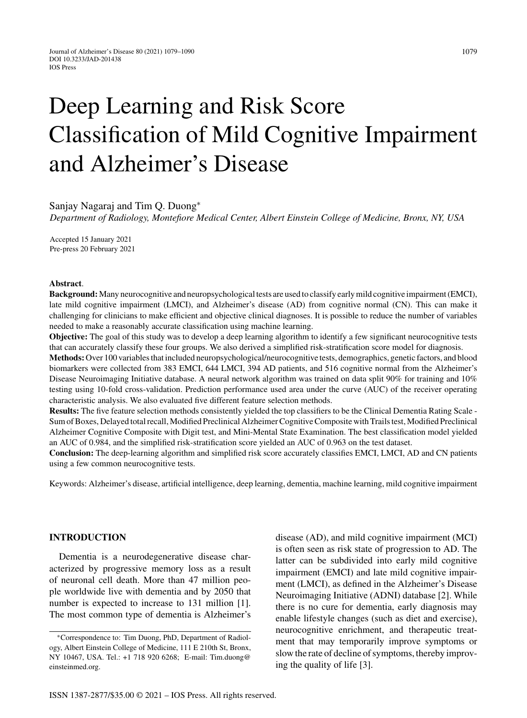# Deep Learning and Risk Score Classification of Mild Cognitive Impairment and Alzheimer's Disease

Sanjay Nagaraj and Tim Q. Duong<sup>∗</sup>

*Department of Radiology, Montefiore Medical Center, Albert Einstein College of Medicine, Bronx, NY, USA*

Accepted 15 January 2021 Pre-press 20 February 2021

#### **Abstract**.

**Background:**Many neurocognitive and neuropsychological tests are used to classify early mild cognitive impairment (EMCI), late mild cognitive impairment (LMCI), and Alzheimer's disease (AD) from cognitive normal (CN). This can make it challenging for clinicians to make efficient and objective clinical diagnoses. It is possible to reduce the number of variables needed to make a reasonably accurate classification using machine learning.

**Objective:** The goal of this study was to develop a deep learning algorithm to identify a few significant neurocognitive tests that can accurately classify these four groups. We also derived a simplified risk-stratification score model for diagnosis.

**Methods:**Over 100 variables that included neuropsychological/neurocognitive tests, demographics, genetic factors, and blood biomarkers were collected from 383 EMCI, 644 LMCI, 394 AD patients, and 516 cognitive normal from the Alzheimer's Disease Neuroimaging Initiative database. A neural network algorithm was trained on data split 90% for training and 10% testing using 10-fold cross-validation. Prediction performance used area under the curve (AUC) of the receiver operating characteristic analysis. We also evaluated five different feature selection methods.

**Results:** The five feature selection methods consistently yielded the top classifiers to be the Clinical Dementia Rating Scale - Sum of Boxes, Delayed total recall, Modified Preclinical Alzheimer Cognitive Composite with Trails test, Modified Preclinical Alzheimer Cognitive Composite with Digit test, and Mini-Mental State Examination. The best classification model yielded an AUC of 0.984, and the simplified risk-stratification score yielded an AUC of 0.963 on the test dataset.

**Conclusion:** The deep-learning algorithm and simplified risk score accurately classifies EMCI, LMCI, AD and CN patients using a few common neurocognitive tests.

Keywords: Alzheimer's disease, artificial intelligence, deep learning, dementia, machine learning, mild cognitive impairment

# **INTRODUCTION**

Dementia is a neurodegenerative disease characterized by progressive memory loss as a result of neuronal cell death. More than 47 million people worldwide live with dementia and by 2050 that number is expected to increase to 131 million [1]. The most common type of dementia is Alzheimer's

disease (AD), and mild cognitive impairment (MCI) is often seen as risk state of progression to AD. The latter can be subdivided into early mild cognitive impairment (EMCI) and late mild cognitive impairment (LMCI), as defined in the Alzheimer's Disease Neuroimaging Initiative (ADNI) database [2]. While there is no cure for dementia, early diagnosis may enable lifestyle changes (such as diet and exercise), neurocognitive enrichment, and therapeutic treatment that may temporarily improve symptoms or slow the rate of decline of symptoms, thereby improving the quality of life [3].

<sup>∗</sup>Correspondence to: Tim Duong, PhD, Department of Radiology, Albert Einstein College of Medicine, 111 E 210th St, Bronx, NY 10467, USA. Tel.: +1 718 920 6268; E-mail: [Tim.duong@](mailto:Tim.duong@{penalty -@M }einsteinmed.org) einsteinmed.org.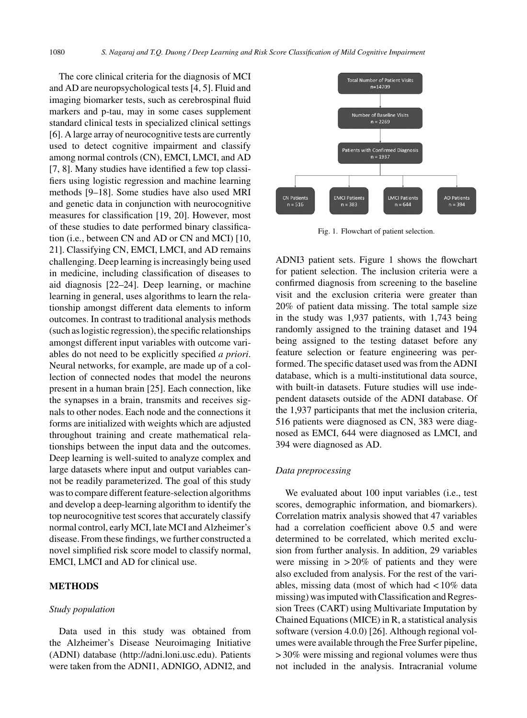The core clinical criteria for the diagnosis of MCI and AD are neuropsychological tests [4, 5]. Fluid and imaging biomarker tests, such as cerebrospinal fluid markers and p-tau, may in some cases supplement standard clinical tests in specialized clinical settings [6]. A large array of neurocognitive tests are currently used to detect cognitive impairment and classify among normal controls (CN), EMCI, LMCI, and AD [7, 8]. Many studies have identified a few top classifiers using logistic regression and machine learning methods [9–18]. Some studies have also used MRI and genetic data in conjunction with neurocognitive measures for classification [19, 20]. However, most of these studies to date performed binary classification (i.e., between CN and AD or CN and MCI) [10, 21]. Classifying CN, EMCI, LMCI, and AD remains challenging. Deep learning is increasingly being used in medicine, including classification of diseases to aid diagnosis [22–24]. Deep learning, or machine learning in general, uses algorithms to learn the relationship amongst different data elements to inform outcomes. In contrast to traditional analysis methods (such as logistic regression), the specific relationships amongst different input variables with outcome variables do not need to be explicitly specified *a priori*. Neural networks, for example, are made up of a collection of connected nodes that model the neurons present in a human brain [25]. Each connection, like the synapses in a brain, transmits and receives signals to other nodes. Each node and the connections it forms are initialized with weights which are adjusted throughout training and create mathematical relationships between the input data and the outcomes. Deep learning is well-suited to analyze complex and large datasets where input and output variables cannot be readily parameterized. The goal of this study was to compare different feature-selection algorithms and develop a deep-learning algorithm to identify the top neurocognitive test scores that accurately classify normal control, early MCI, late MCI and Alzheimer's disease. From these findings, we further constructed a novel simplified risk score model to classify normal, EMCI, LMCI and AD for clinical use.

## **METHODS**

#### *Study population*

Data used in this study was obtained from the Alzheimer's Disease Neuroimaging Initiative (ADNI) database [\(http://adni.loni.usc.edu\)](http://adni.loni.usc.edu). Patients were taken from the ADNI1, ADNIGO, ADNI2, and



Fig. 1. Flowchart of patient selection.

ADNI3 patient sets. Figure 1 shows the flowchart for patient selection. The inclusion criteria were a confirmed diagnosis from screening to the baseline visit and the exclusion criteria were greater than 20% of patient data missing. The total sample size in the study was 1,937 patients, with 1,743 being randomly assigned to the training dataset and 194 being assigned to the testing dataset before any feature selection or feature engineering was performed. The specific dataset used was from the ADNI database, which is a multi-institutional data source, with built-in datasets. Future studies will use independent datasets outside of the ADNI database. Of the 1,937 participants that met the inclusion criteria, 516 patients were diagnosed as CN, 383 were diagnosed as EMCI, 644 were diagnosed as LMCI, and 394 were diagnosed as AD.

#### *Data preprocessing*

We evaluated about 100 input variables (i.e., test scores, demographic information, and biomarkers). Correlation matrix analysis showed that 47 variables had a correlation coefficient above 0.5 and were determined to be correlated, which merited exclusion from further analysis. In addition, 29 variables were missing in  $>20\%$  of patients and they were also excluded from analysis. For the rest of the variables, missing data (most of which had < 10% data missing) was imputed with Classification and Regression Trees (CART) using Multivariate Imputation by Chained Equations (MICE) in R, a statistical analysis software (version 4.0.0) [26]. Although regional volumes were available through the Free Surfer pipeline, > 30% were missing and regional volumes were thus not included in the analysis. Intracranial volume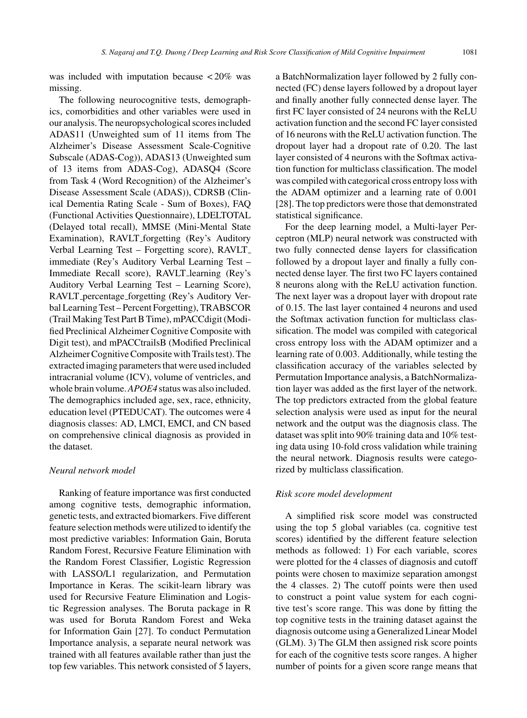was included with imputation because < 20% was missing.

The following neurocognitive tests, demographics, comorbidities and other variables were used in our analysis. The neuropsychological scores included ADAS11 (Unweighted sum of 11 items from The Alzheimer's Disease Assessment Scale-Cognitive Subscale (ADAS-Cog)), ADAS13 (Unweighted sum of 13 items from ADAS-Cog), ADASQ4 (Score from Task 4 (Word Recognition) of the Alzheimer's Disease Assessment Scale (ADAS)), CDRSB (Clinical Dementia Rating Scale - Sum of Boxes), FAQ (Functional Activities Questionnaire), LDELTOTAL (Delayed total recall), MMSE (Mini-Mental State Examination), RAVLT forgetting (Rey's Auditory Verbal Learning Test – Forgetting score), RAVLT immediate (Rey's Auditory Verbal Learning Test – Immediate Recall score), RAVLT learning (Rey's Auditory Verbal Learning Test – Learning Score), RAVLT percentage forgetting (Rey's Auditory Verbal Learning Test – Percent Forgetting), TRABSCOR (Trail Making Test Part B Time), mPACCdigit (Modified Preclinical Alzheimer Cognitive Composite with Digit test), and mPACCtrailsB (Modified Preclinical Alzheimer Cognitive Composite with Trails test). The extracted imaging parameters that were used included intracranial volume (ICV), volume of ventricles, and whole brain volume.*APOE4* status was also included. The demographics included age, sex, race, ethnicity, education level (PTEDUCAT). The outcomes were 4 diagnosis classes: AD, LMCI, EMCI, and CN based on comprehensive clinical diagnosis as provided in the dataset.

## *Neural network model*

Ranking of feature importance was first conducted among cognitive tests, demographic information, genetic tests, and extracted biomarkers. Five different feature selection methods were utilized to identify the most predictive variables: Information Gain, Boruta Random Forest, Recursive Feature Elimination with the Random Forest Classifier, Logistic Regression with LASSO/L1 regularization, and Permutation Importance in Keras. The scikit-learn library was used for Recursive Feature Elimination and Logistic Regression analyses. The Boruta package in R was used for Boruta Random Forest and Weka for Information Gain [27]. To conduct Permutation Importance analysis, a separate neural network was trained with all features available rather than just the top few variables. This network consisted of 5 layers,

a BatchNormalization layer followed by 2 fully connected (FC) dense layers followed by a dropout layer and finally another fully connected dense layer. The first FC layer consisted of 24 neurons with the ReLU activation function and the second FC layer consisted of 16 neurons with the ReLU activation function. The dropout layer had a dropout rate of 0.20. The last layer consisted of 4 neurons with the Softmax activation function for multiclass classification. The model was compiled with categorical cross entropy loss with the ADAM optimizer and a learning rate of 0.001 [28]. The top predictors were those that demonstrated statistical significance.

For the deep learning model, a Multi-layer Perceptron (MLP) neural network was constructed with two fully connected dense layers for classification followed by a dropout layer and finally a fully connected dense layer. The first two FC layers contained 8 neurons along with the ReLU activation function. The next layer was a dropout layer with dropout rate of 0.15. The last layer contained 4 neurons and used the Softmax activation function for multiclass classification. The model was compiled with categorical cross entropy loss with the ADAM optimizer and a learning rate of 0.003. Additionally, while testing the classification accuracy of the variables selected by Permutation Importance analysis, a BatchNormalization layer was added as the first layer of the network. The top predictors extracted from the global feature selection analysis were used as input for the neural network and the output was the diagnosis class. The dataset was split into 90% training data and 10% testing data using 10-fold cross validation while training the neural network. Diagnosis results were categorized by multiclass classification.

#### *Risk score model development*

A simplified risk score model was constructed using the top 5 global variables (ca. cognitive test scores) identified by the different feature selection methods as followed: 1) For each variable, scores were plotted for the 4 classes of diagnosis and cutoff points were chosen to maximize separation amongst the 4 classes. 2) The cutoff points were then used to construct a point value system for each cognitive test's score range. This was done by fitting the top cognitive tests in the training dataset against the diagnosis outcome using a Generalized Linear Model (GLM). 3) The GLM then assigned risk score points for each of the cognitive tests score ranges. A higher number of points for a given score range means that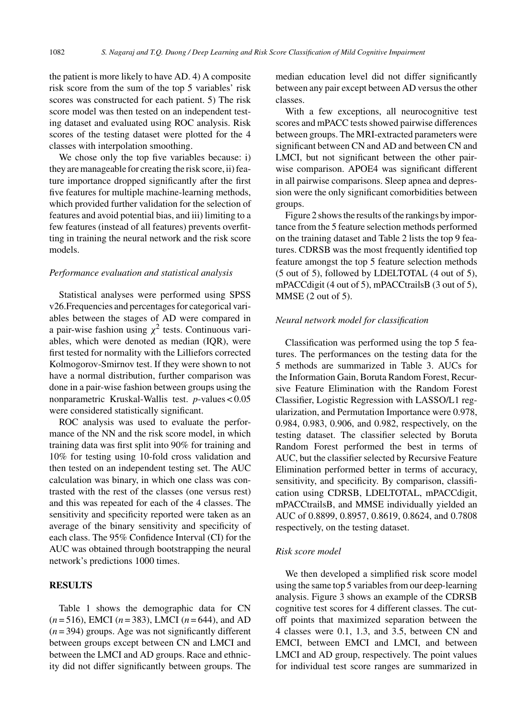the patient is more likely to have AD. 4) A composite risk score from the sum of the top 5 variables' risk scores was constructed for each patient. 5) The risk score model was then tested on an independent testing dataset and evaluated using ROC analysis. Risk scores of the testing dataset were plotted for the 4 classes with interpolation smoothing.

We chose only the top five variables because: i) they are manageable for creating the risk score, ii) feature importance dropped significantly after the first five features for multiple machine-learning methods, which provided further validation for the selection of features and avoid potential bias, and iii) limiting to a few features (instead of all features) prevents overfitting in training the neural network and the risk score models.

#### *Performance evaluation and statistical analysis*

Statistical analyses were performed using SPSS v26.Frequencies and percentages for categorical variables between the stages of AD were compared in a pair-wise fashion using  $\chi^2$  tests. Continuous variables, which were denoted as median (IQR), were first tested for normality with the Lilliefors corrected Kolmogorov-Smirnov test. If they were shown to not have a normal distribution, further comparison was done in a pair-wise fashion between groups using the nonparametric Kruskal-Wallis test. *p*-values < 0.05 were considered statistically significant.

ROC analysis was used to evaluate the performance of the NN and the risk score model, in which training data was first split into 90% for training and 10% for testing using 10-fold cross validation and then tested on an independent testing set. The AUC calculation was binary, in which one class was contrasted with the rest of the classes (one versus rest) and this was repeated for each of the 4 classes. The sensitivity and specificity reported were taken as an average of the binary sensitivity and specificity of each class. The 95% Confidence Interval (CI) for the AUC was obtained through bootstrapping the neural network's predictions 1000 times.

## **RESULTS**

Table 1 shows the demographic data for CN (*n* = 516), EMCI (*n* = 383), LMCI (*n* = 644), and AD (*n* = 394) groups. Age was not significantly different between groups except between CN and LMCI and between the LMCI and AD groups. Race and ethnicity did not differ significantly between groups. The

median education level did not differ significantly between any pair except between AD versus the other classes.

With a few exceptions, all neurocognitive test scores and mPACC tests showed pairwise differences between groups. The MRI-extracted parameters were significant between CN and AD and between CN and LMCI, but not significant between the other pairwise comparison. APOE4 was significant different in all pairwise comparisons. Sleep apnea and depression were the only significant comorbidities between groups.

Figure 2 shows the results of the rankings by importance from the 5 feature selection methods performed on the training dataset and Table 2 lists the top 9 features. CDRSB was the most frequently identified top feature amongst the top 5 feature selection methods (5 out of 5), followed by LDELTOTAL (4 out of 5), mPACCdigit (4 out of 5), mPACCtrailsB (3 out of 5), MMSE (2 out of 5).

## *Neural network model for classification*

Classification was performed using the top 5 features. The performances on the testing data for the 5 methods are summarized in Table 3. AUCs for the Information Gain, Boruta Random Forest, Recursive Feature Elimination with the Random Forest Classifier, Logistic Regression with LASSO/L1 regularization, and Permutation Importance were 0.978, 0.984, 0.983, 0.906, and 0.982, respectively, on the testing dataset. The classifier selected by Boruta Random Forest performed the best in terms of AUC, but the classifier selected by Recursive Feature Elimination performed better in terms of accuracy, sensitivity, and specificity. By comparison, classification using CDRSB, LDELTOTAL, mPACCdigit, mPACCtrailsB, and MMSE individually yielded an AUC of 0.8899, 0.8957, 0.8619, 0.8624, and 0.7808 respectively, on the testing dataset.

#### *Risk score model*

We then developed a simplified risk score model using the same top 5 variables from our deep-learning analysis. Figure 3 shows an example of the CDRSB cognitive test scores for 4 different classes. The cutoff points that maximized separation between the 4 classes were 0.1, 1.3, and 3.5, between CN and EMCI, between EMCI and LMCI, and between LMCI and AD group, respectively. The point values for individual test score ranges are summarized in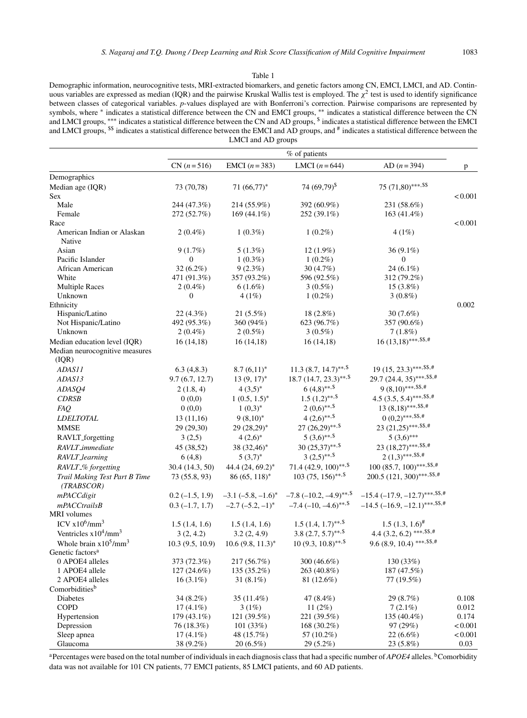#### Table 1

Demographic information, neurocognitive tests, MRI-extracted biomarkers, and genetic factors among CN, EMCI, LMCI, and AD. Continuous variables are expressed as median (IQR) and the pairwise Kruskal Wallis test is employed. The  $\chi^2$  test is used to identify significance between classes of categorical variables. *p*-values displayed are with Bonferroni's correction. Pairwise comparisons are represented by symbols, where \* indicates a statistical difference between the CN and EMCI groups, \*\* indicates a statistical difference between the CN and LMCI groups, ∗∗∗ indicates a statistical difference between the CN and AD groups, \$ indicates a statistical difference between the EMCI and LMCI groups, <sup>\$\$</sup> indicates a statistical difference between the EMCI and AD groups, and # indicates a statistical difference between the LMCI and AD groups

|                                                                | % of patients    |                         |                                            |                                      |         |  |
|----------------------------------------------------------------|------------------|-------------------------|--------------------------------------------|--------------------------------------|---------|--|
|                                                                | $CN (n=516)$     | EMCI $(n=383)$          | LMCI $(n=644)$                             | AD $(n = 394)$                       | p       |  |
| Demographics                                                   |                  |                         |                                            |                                      |         |  |
| Median age (IQR)                                               | 73 (70,78)       | $71 (66, 77)^*$         | 74 (69,79) <sup>\$</sup>                   | 75 (71,80)***.\$\$                   |         |  |
| <b>Sex</b>                                                     |                  |                         |                                            |                                      | < 0.001 |  |
| Male                                                           | 244 (47.3%)      | 214 (55.9%)             | 392 (60.9%)                                | 231 (58.6%)                          |         |  |
| Female                                                         | 272 (52.7%)      | $169(44.1\%)$           | 252 (39.1%)                                | $163(41.4\%)$                        |         |  |
| Race                                                           |                  |                         |                                            |                                      | < 0.001 |  |
| American Indian or Alaskan<br>Native                           | $2(0.4\%)$       | $1(0.3\%)$              | $1(0.2\%)$                                 | 4(1%)                                |         |  |
| Asian                                                          | 9(1.7%)          | 5(1.3%)                 | $12(1.9\%)$                                | 36 (9.1%)                            |         |  |
| Pacific Islander                                               | 0                | $1(0.3\%)$              | $1(0.2\%)$                                 | $\mathbf{0}$                         |         |  |
| African American                                               | 32 (6.2%)        | 9(2.3%)                 | 30(4.7%)                                   | $24(6.1\%)$                          |         |  |
| White                                                          | 471 (91.3%)      | 357 (93.2%)             | 596 (92.5%)                                | 312 (79.2%)                          |         |  |
| <b>Multiple Races</b>                                          | $2(0.4\%)$       | $6(1.6\%)$              | $3(0.5\%)$                                 | $15(3.8\%)$                          |         |  |
| Unknown                                                        | $\boldsymbol{0}$ | 4(1%)                   | $1(0.2\%)$                                 | $3(0.8\%)$                           |         |  |
| Ethnicity                                                      |                  |                         |                                            |                                      | 0.002   |  |
| Hispanic/Latino                                                | 22(4.3%)         | 21(5.5%)                | 18 (2.8%)                                  | $30(7.6\%)$                          |         |  |
| Not Hispanic/Latino                                            | 492 (95.3%)      | 360 (94%)               | 623 (96.7%)                                | 357 (90.6%)                          |         |  |
| Unknown                                                        | $2(0.4\%)$       | $2(0.5\%)$              | $3(0.5\%)$                                 | 7(1.8%)                              |         |  |
| Median education level (IQR)<br>Median neurocognitive measures | 16(14,18)        | 16(14,18)               | 16(14,18)                                  | $16(13,18)$ ***,\$\$,#               |         |  |
| (IQR)                                                          |                  |                         |                                            |                                      |         |  |
| ADAS11                                                         | 6.3(4,8.3)       | $8.7(6,11)^*$           | $11.3(8.7, 14.7)$ **. <sup>\$</sup>        | $19(15, 23.3)$ ***,\$\$,#            |         |  |
| ADAS13                                                         | 9.7(6.7, 12.7)   | $13(9, 17)^*$           | $18.7$ $(14.7, 23.3)$ **, \$               | 29.7 (24.4, 35)***. \$\$.#           |         |  |
| ADASQ4                                                         | 2(1.8, 4)        | $4(3,5)^*$              | $6(4,8)$ **, \$                            | $9(8,10)$ ***,\$\$,#                 |         |  |
| <b>CDRSB</b>                                                   | 0(0,0)           | $1(0.5, 1.5)^*$         | $1.5(1,2)$ **, \$                          | 4.5 (3.5, 5.4)***. \$\$,#            |         |  |
| FAQ.                                                           | 0(0,0)           | $1(0,3)^*$              | $2(0,6)$ **, \$                            | $13 (8,18)$ ***.\$\$.#               |         |  |
| <b>LDELTOTAL</b>                                               | 13(11,16)        | $9(8,10)^*$             | $4(2,6)$ **,\$                             | $0 (0,2)$ ***.\$\$.#                 |         |  |
| MMSE                                                           | 29 (29,30)       | $29(28,29)^*$           | $27(26,29)$ **, \$                         | 23 $(21,25)$ ***, \$\$,#             |         |  |
| RAVLT_forgetting                                               | 3(2,5)           | $4(2,6)^*$              | $5(3,6)$ **,\$                             | $5(3,6)$ ***                         |         |  |
| RAVLT_immediate                                                | 45 (38,52)       | 38 (32,46)*             | $30(25,37)$ **, \$                         | 23 (18,27)***, \$\$,#                |         |  |
| RAVLT_learning                                                 | 6(4,8)           | $5(3,7)^*$              | $3(2,5)$ **, \$                            | $2(1,3)$ ***,\$\$,#                  |         |  |
| RAVLT_% forgetting                                             | 30.4 (14.3, 50)  | 44.4 $(24, 69.2)^*$     | 71.4 $(42.9, 100)$ **, \$                  | $100 (85.7, 100)$ ***.\$\$.#         |         |  |
| Trail Making Test Part B Time<br>(TRABSCOR)                    | 73 (55.8, 93)    | $86(65, 118)^*$         | $103(75, 156)$ **, \$                      | 200.5 (121, 300)****.\$\$.#          |         |  |
| mPACCdigit                                                     | $0.2(-1.5, 1.9)$ | $-3.1$ $(-5.8, -1.6)^*$ | $-7.8$ $(-10.2, -4.9)$ **.                 | $-15.4$ $(-17.9, -12.7)$ ***.\$\$.#  |         |  |
| $mPACC$ trails $B$                                             | $0.3(-1.7, 1.7)$ | $-2.7$ $(-5.2, -1)^*$   | $-7.4$ ( $-10$ , $-4.6$ )**. <sup>\$</sup> | $-14.5$ ( $-16.9, -12.1$ )***.\$\$.# |         |  |
| MRI volumes                                                    |                  |                         |                                            |                                      |         |  |
| ICV $x10^6/\text{mm}^3$                                        | 1.5(1.4, 1.6)    | 1.5(1.4, 1.6)           | $1.5(1.4, 1.7)^{**, 5}$                    | $1.5(1.3, 1.6)^{\#}$                 |         |  |
| Ventricles $x10^4/\text{mm}^3$                                 | 3(2, 4.2)        | 3.2(2, 4.9)             | $3.8(2.7, 5.7)^{**, \$}$                   | 4.4 (3.2, 6.2) ***, \$\$,#           |         |  |
| Whole brain $x10^5/\text{mm}^3$                                | 10.3(9.5, 10.9)  | $10.6 (9.8, 11.3)^*$    | $10(9.3, 10.8)$ **, \$                     | 9.6 (8.9, 10.4) ***. $$*, \$         |         |  |
| Genetic factors <sup>a</sup>                                   |                  |                         |                                            |                                      |         |  |
| 0 APOE4 alleles                                                | 373 (72.3%)      | 217 (56.7%)             | 300 (46.6%)                                | 130 (33%)                            |         |  |
| 1 APOE4 allele                                                 | 127 (24.6%)      | 135 (35.2%)             | 263 (40.8%)                                | 187 (47.5%)                          |         |  |
| 2 APOE4 alleles                                                | $16(3.1\%)$      | 31 $(8.1\%)$            | 81 (12.6%)                                 | 77 (19.5%)                           |         |  |
| Comorbidities <sup>b</sup>                                     |                  |                         |                                            |                                      |         |  |
| Diabetes                                                       | $34(8.2\%)$      | 35 (11.4%)              | 47 (8.4%)                                  | 29 (8.7%)                            | 0.108   |  |
| <b>COPD</b>                                                    | $17(4.1\%)$      | 3(1%)                   | 11(2%)                                     | $7(2.1\%)$                           | 0.012   |  |
| Hypertension                                                   | 179 (43.1%)      | 121 (39.5%)             | 221 (39.5%)                                | 135 (40.4%)                          | 0.174   |  |
| Depression                                                     | 76 (18.3%)       | 101(33%)                | 168 (30.2%)                                | 97 (29%)                             | < 0.001 |  |
| Sleep apnea                                                    | $17(4.1\%)$      | 48 (15.7%)              | 57 (10.2%)                                 | $22(6.6\%)$                          | < 0.001 |  |
| Glaucoma                                                       | 38 (9.2%)        | $20(6.5\%)$             | 29 (5.2%)                                  | $23(5.8\%)$                          | 0.03    |  |

<sup>a</sup>Percentages were based on the total number of individuals in each diagnosis class that had a specific number of *APOE4* alleles. <sup>b</sup>Comorbidity data was not available for 101 CN patients, 77 EMCI patients, 85 LMCI patients, and 60 AD patients.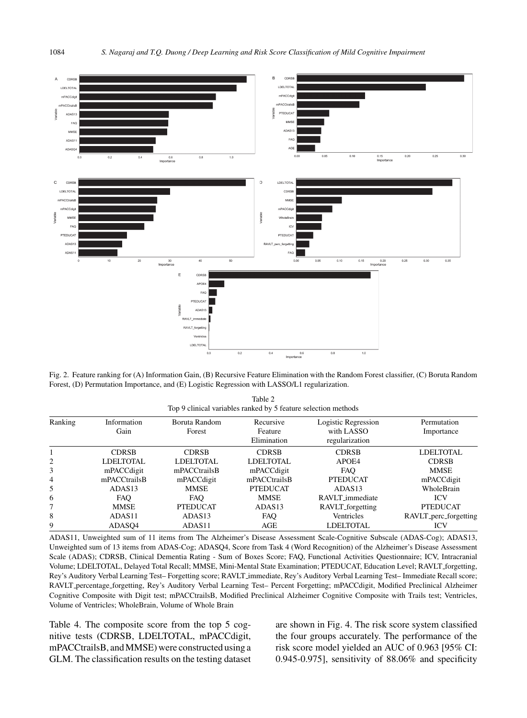

Fig. 2. Feature ranking for (A) Information Gain, (B) Recursive Feature Elimination with the Random Forest classifier, (C) Boruta Random Forest, (D) Permutation Importance, and (E) Logistic Regression with LASSO/L1 regularization.

| Table 2                                                        |
|----------------------------------------------------------------|
| Top 9 clinical variables ranked by 5 feature selection methods |

| Ranking | Information<br>Gain | Boruta Random<br>Forest | Recursive<br>Feature<br>Elimination | Logistic Regression<br>with LASSO<br>regularization | Permutation<br>Importance |
|---------|---------------------|-------------------------|-------------------------------------|-----------------------------------------------------|---------------------------|
|         | <b>CDRSB</b>        | <b>CDRSB</b>            | <b>CDRSB</b>                        | <b>CDRSB</b>                                        | LDELTOTAL                 |
|         | LDELTOTAL           | LDELTOTAL               | <b>LDELTOTAL</b>                    | APOE4                                               | <b>CDRSB</b>              |
| 3       | mPACCdigit          | mPACCtrailsB            | mPACCdigit                          | <b>FAO</b>                                          | <b>MMSE</b>               |
| 4       | mPACCtrailsB        | mPACCdigit              | mPACCtrailsB                        | <b>PTEDUCAT</b>                                     | mPACCdigit                |
| 5       | ADAS <sub>13</sub>  | <b>MMSE</b>             | <b>PTEDUCAT</b>                     | ADAS <sub>13</sub>                                  | WholeBrain                |
| 6       | <b>FAO</b>          | <b>FAO</b>              | <b>MMSE</b>                         | RAVLT_immediate                                     | <b>ICV</b>                |
|         | <b>MMSE</b>         | <b>PTEDUCAT</b>         | ADAS13                              | RAVLT_forgetting                                    | <b>PTEDUCAT</b>           |
| 8       | ADAS <sub>11</sub>  | ADAS <sub>13</sub>      | <b>FAO</b>                          | Ventricles                                          | RAVLT_perc_forgetting     |
| 9       | ADASO4              | ADAS11                  | AGE                                 | <b>LDELTOTAL</b>                                    | <b>ICV</b>                |

ADAS11, Unweighted sum of 11 items from The Alzheimer's Disease Assessment Scale-Cognitive Subscale (ADAS-Cog); ADAS13, Unweighted sum of 13 items from ADAS-Cog; ADASQ4, Score from Task 4 (Word Recognition) of the Alzheimer's Disease Assessment Scale (ADAS); CDRSB, Clinical Dementia Rating - Sum of Boxes Score; FAQ, Functional Activities Questionnaire; ICV, Intracranial Volume; LDELTOTAL, Delayed Total Recall; MMSE, Mini-Mental State Examination; PTEDUCAT, Education Level; RAVLT forgetting, Rey's Auditory Verbal Learning Test– Forgetting score; RAVLT immediate, Rey's Auditory Verbal Learning Test– Immediate Recall score; RAVLT percentage forgetting, Rey's Auditory Verbal Learning Test– Percent Forgetting; mPACCdigit, Modified Preclinical Alzheimer Cognitive Composite with Digit test; mPACCtrailsB, Modified Preclinical Alzheimer Cognitive Composite with Trails test; Ventricles, Volume of Ventricles; WholeBrain, Volume of Whole Brain

Table 4. The composite score from the top 5 cognitive tests (CDRSB, LDELTOTAL, mPACCdigit, mPACCtrailsB, and MMSE) were constructed using a GLM. The classification results on the testing dataset

are shown in Fig. 4. The risk score system classified the four groups accurately. The performance of the risk score model yielded an AUC of 0.963 [95% CI: 0.945-0.975], sensitivity of 88.06% and specificity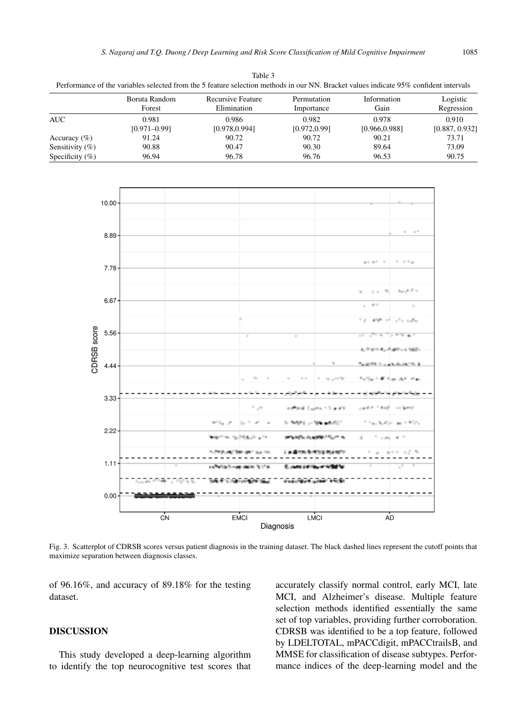|                 |       | Boruta Random<br>Forest   | Recursive Feature<br>Elimination                                               | Permutation<br>Importance                                                                                                                                                                                                                                                                                                                                                                                                                                                                  | Information<br>Gain                                                                                                                                                                                                                | Logistic<br>Regression<br>0.910<br>[0.887, 0.932] |  |
|-----------------|-------|---------------------------|--------------------------------------------------------------------------------|--------------------------------------------------------------------------------------------------------------------------------------------------------------------------------------------------------------------------------------------------------------------------------------------------------------------------------------------------------------------------------------------------------------------------------------------------------------------------------------------|------------------------------------------------------------------------------------------------------------------------------------------------------------------------------------------------------------------------------------|---------------------------------------------------|--|
| <b>AUC</b>      |       | 0.981<br>$[0.971 - 0.99]$ | 0.986<br>[0.978, 0.994]                                                        | 0.982<br>[0.972, 0.99]                                                                                                                                                                                                                                                                                                                                                                                                                                                                     | 0.978<br>[0.966, 0.988]                                                                                                                                                                                                            |                                                   |  |
| Accuracy (%)    |       | 91.24                     | 90.72                                                                          | 90.72                                                                                                                                                                                                                                                                                                                                                                                                                                                                                      | 90.21                                                                                                                                                                                                                              | 73.71                                             |  |
| Sensitivity (%) |       | 90.88                     | 90.47                                                                          | 90.30                                                                                                                                                                                                                                                                                                                                                                                                                                                                                      | 89.64                                                                                                                                                                                                                              | 73.09                                             |  |
| Specificity (%) |       | 96.94                     | 96.78                                                                          | 96.76                                                                                                                                                                                                                                                                                                                                                                                                                                                                                      | 96.53                                                                                                                                                                                                                              | 90.75                                             |  |
|                 |       |                           |                                                                                |                                                                                                                                                                                                                                                                                                                                                                                                                                                                                            |                                                                                                                                                                                                                                    |                                                   |  |
|                 | 10.00 |                           |                                                                                |                                                                                                                                                                                                                                                                                                                                                                                                                                                                                            |                                                                                                                                                                                                                                    |                                                   |  |
|                 | 8.89  |                           |                                                                                |                                                                                                                                                                                                                                                                                                                                                                                                                                                                                            | 0 <sup>0</sup><br>$\circ$                                                                                                                                                                                                          |                                                   |  |
|                 |       |                           |                                                                                |                                                                                                                                                                                                                                                                                                                                                                                                                                                                                            | $0.1 \cdot 10^{-1}$ . $0$<br>$0 - 0.0$                                                                                                                                                                                             |                                                   |  |
|                 | 7.78  |                           |                                                                                |                                                                                                                                                                                                                                                                                                                                                                                                                                                                                            |                                                                                                                                                                                                                                    |                                                   |  |
|                 | 6.67  |                           |                                                                                |                                                                                                                                                                                                                                                                                                                                                                                                                                                                                            | $\label{eq:3.1} \langle \mathbf{q}_{\mathcal{A}} \rangle_{\mathbf{q}} \mathbf{p} \cdot \mathbf{p}^{\mathbf{p}} \cdot \mathbf{q}$<br>$Q_{\rm D}$<br>$\qquad \qquad \oplus \quad \oplus$<br>$\otimes$ $\circ$<br>$\circ$<br>$\alpha$ |                                                   |  |
|                 |       |                           |                                                                                |                                                                                                                                                                                                                                                                                                                                                                                                                                                                                            | $\alpha$<br>$\alpha^0$ or $\alpha$ and $\alpha$<br>$  -$                                                                                                                                                                           |                                                   |  |
| CDRSB score     | 5.56  |                           |                                                                                |                                                                                                                                                                                                                                                                                                                                                                                                                                                                                            | 0.0000000<br>$\overline{\phantom{0}}$<br>$00$ (0)<br>ക്രിക്ക <b>് ക</b> ൊക്കോള്                                                                                                                                                    |                                                   |  |
|                 | 4.44  |                           |                                                                                | G)                                                                                                                                                                                                                                                                                                                                                                                                                                                                                         | ெ <i>ம்பி</i> ச் பெயர்ப்பிடம் பெயர்                                                                                                                                                                                                |                                                   |  |
|                 |       |                           |                                                                                |                                                                                                                                                                                                                                                                                                                                                                                                                                                                                            | ்பிட <i>் பெரி கி. க</i> ொதை                                                                                                                                                                                                       |                                                   |  |
|                 | 3.33  |                           | $^{\circ}$ , $^{\circ}$                                                        | $\alpha\,\partial^{\text{op}}\!\partial\!\!\!\!{}^{\text{op}}\!\partial\!\!\!\!{}^{\text{op}}\!\!\!\!{}^{\text{op}}\!\!\!\!{}\,\otimes\alpha\,\partial^{\text{op}}\!\!\!\!{}^{\text{op}}\!\!\!\!{}\,\otimes\,\alpha\,\partial^{\text{op}}\!\!\!\!{}^{\text{op}}\!\!\!\!{}\,\otimes\,\alpha\,\partial^{\text{op}}\!\!\!\!{}^{\text{op}}\!\!\!\!{}\,\otimes\,\alpha\,\partial^{\text{op}}\!\!\!\!{}^{\text{op}}\!\!\!\!{}\,\otimes\,\alpha\,\partial^{\text{op}}\!\!\!\!{}^{\text{op}}\!\!\$ | 0.980980<br>on Grange                                                                                                                                                                                                              |                                                   |  |
|                 | 2.22  |                           | <b>GPR</b><br>2 <sub>n</sub><br>$^{(0)}$ GBs<br>$-0.89$<br><b>GUIDE</b><br>ig, | <b><i>BURNED OF THE ALAMAC</i></b><br><u>ഗാണം കാണ്ട്രെന്ന് സാ</u>                                                                                                                                                                                                                                                                                                                                                                                                                          | $0$ 0.0%<br>$^{6}$                                                                                                                                                                                                                 |                                                   |  |
|                 |       |                           |                                                                                |                                                                                                                                                                                                                                                                                                                                                                                                                                                                                            |                                                                                                                                                                                                                                    |                                                   |  |
|                 | 1.11  |                           | ம <b>ு</b> முழுதி வழி திரித்த                                                  | டு, அதன் மகிய மூல வரி                                                                                                                                                                                                                                                                                                                                                                                                                                                                      |                                                                                                                                                                                                                                    |                                                   |  |
|                 | 0.00  |                           |                                                                                |                                                                                                                                                                                                                                                                                                                                                                                                                                                                                            |                                                                                                                                                                                                                                    |                                                   |  |
|                 |       | C <sub>N</sub>            | <b>EMCI</b>                                                                    | LMCI<br>Diagnosis                                                                                                                                                                                                                                                                                                                                                                                                                                                                          | AD                                                                                                                                                                                                                                 |                                                   |  |

Table 3 Performance of the variables selected from the 5 feature selection methods in our NN. Bracket values indicate 95% confident intervals

Fig. 3. Scatterplot of CDRSB scores versus patient diagnosis in the training dataset. The black dashed lines represent the cutoff points that maximize separation between diagnosis classes.

of 96.16%, and accuracy of 89.18% for the testing dataset.

## **DISCUSSION**

This study developed a deep-learning algorithm to identify the top neurocognitive test scores that

accurately classify normal control, early MCI, late MCI, and Alzheimer's disease. Multiple feature selection methods identified essentially the same set of top variables, providing further corroboration. CDRSB was identified to be a top feature, followed by LDELTOTAL, mPACCdigit, mPACCtrailsB, and MMSE for classification of disease subtypes. Performance indices of the deep-learning model and the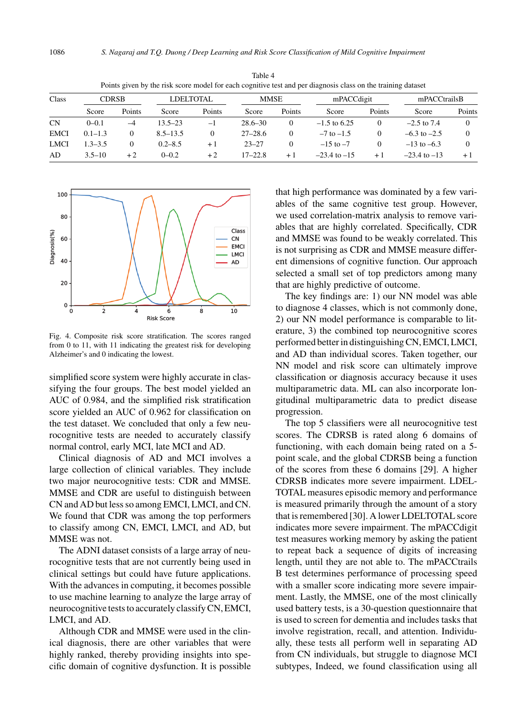| Class       | <b>CDRSB</b> |          |              | <b>LDELTOTAL</b> |             | MMSE         |                  | mPACCdigit |                  | mPACCtrailsB |  |
|-------------|--------------|----------|--------------|------------------|-------------|--------------|------------------|------------|------------------|--------------|--|
|             | Score        | Points   | Score        | Points           | Score       | Points       | Score            | Points     | Score            | Points       |  |
| <b>CN</b>   | $0-0.1$      | $-4$     | $13.5 - 23$  | $-1$             | $28.6 - 30$ | $\mathbf{0}$ | $-1.5$ to 6.25   | 0          | $-2.5$ to $7.4$  |              |  |
| <b>EMCI</b> | $0.1 - 1.3$  | 0        | $8.5 - 13.5$ | $\theta$         | $27 - 28.6$ | 0            | $-7$ to $-1.5$   | $\Omega$   | $-6.3$ to $-2.5$ |              |  |
| <b>LMCI</b> | $1.3 - 3.5$  | $\Omega$ | $0.2 - 8.5$  | $+1$             | $23 - 27$   | $\mathbf{0}$ | $-15$ to $-7$    | 0          | $-13$ to $-6.3$  |              |  |
| AD.         | $3.5 - 10$   | $+2$     | $0 - 0.2$    | $+2$             | $17 - 22.8$ | $+1$         | $-23.4$ to $-15$ | $+1$       | $-23.4$ to $-13$ | $+$          |  |

Table 4 Points given by the risk score model for each cognitive test and per diagnosis class on the training dataset



Fig. 4. Composite risk score stratification. The scores ranged from 0 to 11, with 11 indicating the greatest risk for developing Alzheimer's and 0 indicating the lowest.

simplified score system were highly accurate in classifying the four groups. The best model yielded an AUC of 0.984, and the simplified risk stratification score yielded an AUC of 0.962 for classification on the test dataset. We concluded that only a few neurocognitive tests are needed to accurately classify normal control, early MCI, late MCI and AD.

Clinical diagnosis of AD and MCI involves a large collection of clinical variables. They include two major neurocognitive tests: CDR and MMSE. MMSE and CDR are useful to distinguish between CN and AD but less so among EMCI, LMCI, and CN. We found that CDR was among the top performers to classify among CN, EMCI, LMCI, and AD, but MMSE was not.

The ADNI dataset consists of a large array of neurocognitive tests that are not currently being used in clinical settings but could have future applications. With the advances in computing, it becomes possible to use machine learning to analyze the large array of neurocognitive tests to accurately classify CN, EMCI, LMCI, and AD.

Although CDR and MMSE were used in the clinical diagnosis, there are other variables that were highly ranked, thereby providing insights into specific domain of cognitive dysfunction. It is possible that high performance was dominated by a few variables of the same cognitive test group. However, we used correlation-matrix analysis to remove variables that are highly correlated. Specifically, CDR and MMSE was found to be weakly correlated. This is not surprising as CDR and MMSE measure different dimensions of cognitive function. Our approach selected a small set of top predictors among many that are highly predictive of outcome.

The key findings are: 1) our NN model was able to diagnose 4 classes, which is not commonly done, 2) our NN model performance is comparable to literature, 3) the combined top neurocognitive scores performed better in distinguishing CN, EMCI, LMCI, and AD than individual scores. Taken together, our NN model and risk score can ultimately improve classification or diagnosis accuracy because it uses multiparametric data. ML can also incorporate longitudinal multiparametric data to predict disease progression.

The top 5 classifiers were all neurocognitive test scores. The CDRSB is rated along 6 domains of functioning, with each domain being rated on a 5 point scale, and the global CDRSB being a function of the scores from these 6 domains [29]. A higher CDRSB indicates more severe impairment. LDEL-TOTAL measures episodic memory and performance is measured primarily through the amount of a story that is remembered [30]. A lower LDELTOTAL score indicates more severe impairment. The mPACCdigit test measures working memory by asking the patient to repeat back a sequence of digits of increasing length, until they are not able to. The mPACCtrails B test determines performance of processing speed with a smaller score indicating more severe impairment. Lastly, the MMSE, one of the most clinically used battery tests, is a 30-question questionnaire that is used to screen for dementia and includes tasks that involve registration, recall, and attention. Individually, these tests all perform well in separating AD from CN individuals, but struggle to diagnose MCI subtypes, Indeed, we found classification using all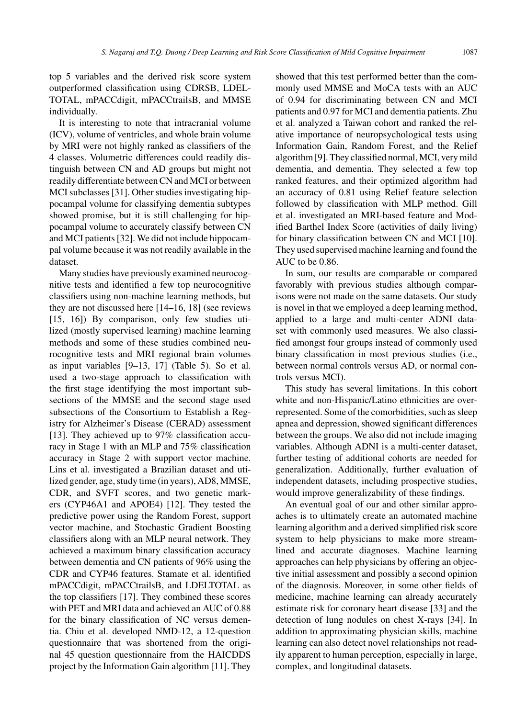top 5 variables and the derived risk score system outperformed classification using CDRSB, LDEL-TOTAL, mPACCdigit, mPACCtrailsB, and MMSE individually.

It is interesting to note that intracranial volume (ICV), volume of ventricles, and whole brain volume by MRI were not highly ranked as classifiers of the 4 classes. Volumetric differences could readily distinguish between CN and AD groups but might not readily differentiate between CN and MCI or between MCI subclasses [31]. Other studies investigating hippocampal volume for classifying dementia subtypes showed promise, but it is still challenging for hippocampal volume to accurately classify between CN and MCI patients [32]. We did not include hippocampal volume because it was not readily available in the dataset.

Many studies have previously examined neurocognitive tests and identified a few top neurocognitive classifiers using non-machine learning methods, but they are not discussed here [14–16, 18] (see reviews [15, 16]) By comparison, only few studies utilized (mostly supervised learning) machine learning methods and some of these studies combined neurocognitive tests and MRI regional brain volumes as input variables [9–13, 17] (Table 5). So et al. used a two-stage approach to classification with the first stage identifying the most important subsections of the MMSE and the second stage used subsections of the Consortium to Establish a Registry for Alzheimer's Disease (CERAD) assessment [13]. They achieved up to 97% classification accuracy in Stage 1 with an MLP and 75% classification accuracy in Stage 2 with support vector machine. Lins et al. investigated a Brazilian dataset and utilized gender, age, study time (in years), AD8, MMSE, CDR, and SVFT scores, and two genetic markers (CYP46A1 and APOE4) [12]. They tested the predictive power using the Random Forest, support vector machine, and Stochastic Gradient Boosting classifiers along with an MLP neural network. They achieved a maximum binary classification accuracy between dementia and CN patients of 96% using the CDR and CYP46 features. Stamate et al. identified mPACCdigit, mPACCtrailsB, and LDELTOTAL as the top classifiers [17]. They combined these scores with PET and MRI data and achieved an AUC of 0.88 for the binary classification of NC versus dementia. Chiu et al. developed NMD-12, a 12-question questionnaire that was shortened from the original 45 question questionnaire from the HAICDDS project by the Information Gain algorithm [11]. They showed that this test performed better than the commonly used MMSE and MoCA tests with an AUC of 0.94 for discriminating between CN and MCI patients and 0.97 for MCI and dementia patients. Zhu et al. analyzed a Taiwan cohort and ranked the relative importance of neuropsychological tests using Information Gain, Random Forest, and the Relief algorithm [9]. They classified normal, MCI, very mild dementia, and dementia. They selected a few top ranked features, and their optimized algorithm had an accuracy of 0.81 using Relief feature selection followed by classification with MLP method. Gill et al. investigated an MRI-based feature and Modified Barthel Index Score (activities of daily living) for binary classification between CN and MCI [10]. They used supervised machine learning and found the AUC to be 0.86.

In sum, our results are comparable or compared favorably with previous studies although comparisons were not made on the same datasets. Our study is novel in that we employed a deep learning method, applied to a large and multi-center ADNI dataset with commonly used measures. We also classified amongst four groups instead of commonly used binary classification in most previous studies (i.e., between normal controls versus AD, or normal controls versus MCI).

This study has several limitations. In this cohort white and non-Hispanic/Latino ethnicities are overrepresented. Some of the comorbidities, such as sleep apnea and depression, showed significant differences between the groups. We also did not include imaging variables. Although ADNI is a multi-center dataset, further testing of additional cohorts are needed for generalization. Additionally, further evaluation of independent datasets, including prospective studies, would improve generalizability of these findings.

An eventual goal of our and other similar approaches is to ultimately create an automated machine learning algorithm and a derived simplified risk score system to help physicians to make more streamlined and accurate diagnoses. Machine learning approaches can help physicians by offering an objective initial assessment and possibly a second opinion of the diagnosis. Moreover, in some other fields of medicine, machine learning can already accurately estimate risk for coronary heart disease [33] and the detection of lung nodules on chest X-rays [34]. In addition to approximating physician skills, machine learning can also detect novel relationships not readily apparent to human perception, especially in large, complex, and longitudinal datasets.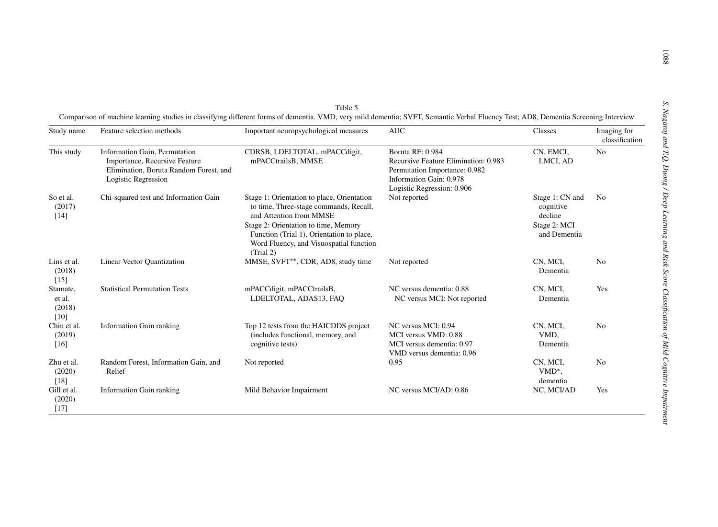| Study name                             | Feature selection methods                                                                                                       | Important neuropsychological measures                                                                                                                                                                                                                        | <b>AUC</b>                                                                                                                                         | Classes                                                                 | Imaging for<br>classification |
|----------------------------------------|---------------------------------------------------------------------------------------------------------------------------------|--------------------------------------------------------------------------------------------------------------------------------------------------------------------------------------------------------------------------------------------------------------|----------------------------------------------------------------------------------------------------------------------------------------------------|-------------------------------------------------------------------------|-------------------------------|
| This study                             | Information Gain, Permutation<br>Importance, Recursive Feature<br>Elimination, Boruta Random Forest, and<br>Logistic Regression | CDRSB, LDELTOTAL, mPACCdigit,<br>mPACCtrailsB, MMSE                                                                                                                                                                                                          | Boruta RF: 0.984<br>Recursive Feature Elimination: 0.983<br>Permutation Importance: 0.982<br>Information Gain: 0.978<br>Logistic Regression: 0.906 | CN, EMCI,<br>LMCI, AD                                                   | N <sub>0</sub>                |
| So et al.<br>(2017)<br>$[14]$          | Chi-squared test and Information Gain                                                                                           | Stage 1: Orientation to place, Orientation<br>to time, Three-stage commands, Recall,<br>and Attention from MMSE<br>Stage 2: Orientation to time, Memory<br>Function (Trial 1), Orientation to place,<br>Word Fluency, and Visuospatial function<br>(Trial 2) | Not reported                                                                                                                                       | Stage 1: CN and<br>cognitive<br>decline<br>Stage 2: MCI<br>and Dementia | N <sub>0</sub>                |
| Lins et al.<br>(2018)<br>$[15]$        | Linear Vector Quantization                                                                                                      | MMSE, SVFT <sup>**</sup> , CDR, AD8, study time                                                                                                                                                                                                              | Not reported                                                                                                                                       | CN, MCI,<br>Dementia                                                    | N <sub>0</sub>                |
| Stamate,<br>et al.<br>(2018)<br>$[10]$ | <b>Statistical Permutation Tests</b>                                                                                            | mPACCdigit, mPACCtrailsB,<br>LDELTOTAL, ADAS13, FAO                                                                                                                                                                                                          | NC versus dementia: 0.88<br>NC versus MCI: Not reported                                                                                            | CN, MCI,<br>Dementia                                                    | Yes                           |
| Chiu et al.<br>(2019)<br>$[16]$        | <b>Information Gain ranking</b>                                                                                                 | Top 12 tests from the HAICDDS project<br>(includes functional, memory, and<br>cognitive tests)                                                                                                                                                               | NC versus MCI: 0.94<br>MCI versus VMD: 0.88<br>MCI versus dementia: 0.97<br>VMD versus dementia: 0.96                                              | CN, MCI,<br>VMD.<br>Dementia                                            | N <sub>0</sub>                |
| Zhu et al.<br>(2020)<br>$[18]$         | Random Forest, Information Gain, and<br>Relief                                                                                  | Not reported                                                                                                                                                                                                                                                 | 0.95                                                                                                                                               | CN, MCI,<br>$VMD^*$ ,<br>dementia                                       | N <sub>0</sub>                |
| Gill et al.<br>(2020)<br>$[17]$        | <b>Information Gain ranking</b>                                                                                                 | Mild Behavior Impairment                                                                                                                                                                                                                                     | NC versus MCI/AD: 0.86                                                                                                                             | NC, MCI/AD                                                              | Yes                           |

|                                                                                                                                                                                   | lable |  |  |
|-----------------------------------------------------------------------------------------------------------------------------------------------------------------------------------|-------|--|--|
| Comparison of machine learning studies in classifying different forms of dementia. VMD, very mild dementia: SVFT, Semantic Verbal Fluency Test: AD8, Dementia Screening Interview |       |  |  |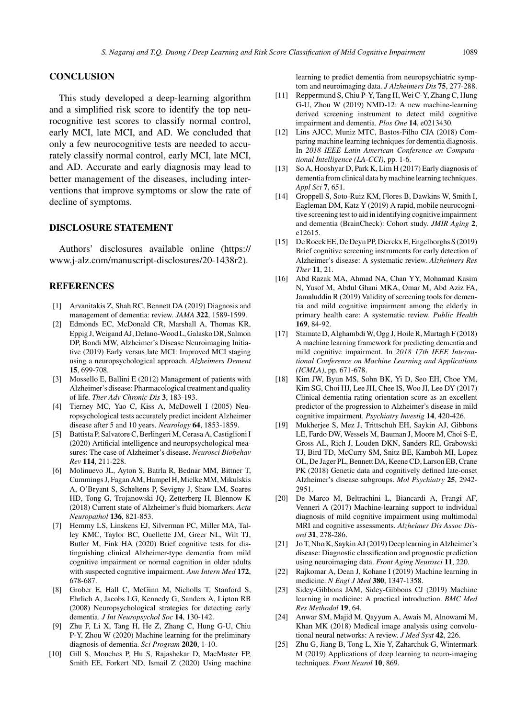## **CONCLUSION**

This study developed a deep-learning algorithm and a simplified risk score to identify the top neurocognitive test scores to classify normal control, early MCI, late MCI, and AD. We concluded that only a few neurocognitive tests are needed to accurately classify normal control, early MCI, late MCI, and AD. Accurate and early diagnosis may lead to better management of the diseases, including interventions that improve symptoms or slow the rate of decline of symptoms.

# **DISCLOSURE STATEMENT**

Authors' disclosures available online (https:// www.j-alz.com/manuscript-disclosures/20-1438r2).

## **REFERENCES**

- [1] Arvanitakis Z, Shah RC, Bennett DA (2019) Diagnosis and management of dementia: review. *JAMA* **322**, 1589-1599.
- [2] Edmonds EC, McDonald CR, Marshall A, Thomas KR, Eppig J, Weigand AJ, Delano-Wood L, Galasko DR, Salmon DP, Bondi MW, Alzheimer's Disease Neuroimaging Initiative (2019) Early versus late MCI: Improved MCI staging using a neuropsychological approach. *Alzheimers Dement* **15**, 699-708.
- [3] Mossello E, Ballini E (2012) Management of patients with Alzheimer's disease: Pharmacological treatment and quality of life. *Ther Adv Chronic Dis* **3**, 183-193.
- [4] Tierney MC, Yao C, Kiss A, McDowell I (2005) Neuropsychological tests accurately predict incident Alzheimer disease after 5 and 10 years. *Neurology* **64**, 1853-1859.
- [5] Battista P, Salvatore C, Berlingeri M, Cerasa A, Castiglioni I (2020) Artificial intelligence and neuropsychological measures: The case of Alzheimer's disease. *Neurosci Biobehav Rev* **114**, 211-228.
- [6] Molinuevo JL, Ayton S, Batrla R, Bednar MM, Bittner T, Cummings J, Fagan AM, Hampel H, Mielke MM, Mikulskis A, O'Bryant S, Scheltens P, Sevigny J, Shaw LM, Soares HD, Tong G, Trojanowski JQ, Zetterberg H, Blennow K (2018) Current state of Alzheimer's fluid biomarkers. *Acta Neuropathol* **136**, 821-853.
- [7] Hemmy LS, Linskens EJ, Silverman PC, Miller MA, Talley KMC, Taylor BC, Ouellette JM, Greer NL, Wilt TJ, Butler M, Fink HA (2020) Brief cognitive tests for distinguishing clinical Alzheimer-type dementia from mild cognitive impairment or normal cognition in older adults with suspected cognitive impairment. *Ann Intern Med* **172**, 678-687.
- [8] Grober E, Hall C, McGinn M, Nicholls T, Stanford S, Ehrlich A, Jacobs LG, Kennedy G, Sanders A, Lipton RB (2008) Neuropsychological strategies for detecting early dementia. *J Int Neuropsychol Soc* **14**, 130-142.
- [9] Zhu F, Li X, Tang H, He Z, Zhang C, Hung G-U, Chiu P-Y, Zhou W (2020) Machine learning for the preliminary diagnosis of dementia. *Sci Program* **2020**, 1-10.
- [10] Gill S, Mouches P, Hu S, Rajashekar D, MacMaster FP, Smith EE, Forkert ND, Ismail Z (2020) Using machine

learning to predict dementia from neuropsychiatric symptom and neuroimaging data. *J Alzheimers Dis* **75**, 277-288.

- [11] Reppermund S, Chiu P-Y, Tang H, Wei C-Y, Zhang C, Hung G-U, Zhou W (2019) NMD-12: A new machine-learning derived screening instrument to detect mild cognitive impairment and dementia. *Plos One* **14**, e0213430.
- [12] Lins AJCC, Muniz MTC, Bastos-Filho CJA (2018) Comparing machine learning techniques for dementia diagnosis. In *2018 IEEE Latin American Conference on Computational Intelligence (LA-CCI)*, pp. 1-6.
- [13] So A, Hooshyar D, Park K, Lim H (2017) Early diagnosis of dementia from clinical data by machine learning techniques. *Appl Sci* **7**, 651.
- [14] Groppell S, Soto-Ruiz KM, Flores B, Dawkins W, Smith I, Eagleman DM, Katz Y (2019) A rapid, mobile neurocognitive screening test to aid in identifying cognitive impairment and dementia (BrainCheck): Cohort study. *JMIR Aging* **2**, e12615.
- [15] De Roeck EE, De Deyn PP, Dierckx E, Engelborghs S (2019) [Brief](https://www.j-alz.com/manuscript-disclosures/20-1438r2) [cognitive](https://www.j-alz.com/manuscript-disclosures/20-1438r2) [screening](https://www.j-alz.com/manuscript-disclosures/20-1438r2) [instruments](https://www.j-alz.com/manuscript-disclosures/20-1438r2) [for](https://www.j-alz.com/manuscript-disclosures/20-1438r2) [early](https://www.j-alz.com/manuscript-disclosures/20-1438r2) [d](https://www.j-alz.com/manuscript-disclosures/20-1438r2)etection of Alzheimer's disease: A systematic review. *Alzheimers Res Ther* **11**, 21.
- [16] Abd Razak MA, Ahmad NA, Chan YY, Mohamad Kasim N, Yusof M, Abdul Ghani MKA, Omar M, Abd Aziz FA, Jamaluddin R (2019) Validity of screening tools for dementia and mild cognitive impairment among the elderly in primary health care: A systematic review. *Public Health* **169**, 84-92.
- [17] Stamate D, Alghambdi W, Ogg J, Hoile R, Murtagh F (2018) A machine learning framework for predicting dementia and mild cognitive impairment. In *2018 17th IEEE International Conference on Machine Learning and Applications (ICMLA)*, pp. 671-678.
- [18] Kim JW, Byun MS, Sohn BK, Yi D, Seo EH, Choe YM, Kim SG, Choi HJ, Lee JH, Chee IS, Woo JI, Lee DY (2017) Clinical dementia rating orientation score as an excellent predictor of the progression to Alzheimer's disease in mild cognitive impairment. *Psychiatry Investig* **14**, 420-426.
- [19] Mukherjee S, Mez J, Trittschuh EH, Saykin AJ, Gibbons LE, Fardo DW, Wessels M, Bauman J, Moore M, Choi S-E, Gross AL, Rich J, Louden DKN, Sanders RE, Grabowski TJ, Bird TD, McCurry SM, Snitz BE, Kamboh MI, Lopez OL, De Jager PL, Bennett DA, Keene CD, Larson EB, Crane PK (2018) Genetic data and cognitively defined late-onset Alzheimer's disease subgroups. *Mol Psychiatry* **25**, 2942- 2951.
- [20] De Marco M, Beltrachini L, Biancardi A, Frangi AF, Venneri A (2017) Machine-learning support to individual diagnosis of mild cognitive impairment using multimodal MRI and cognitive assessments. *Alzheimer Dis Assoc Disord* **31**, 278-286.
- [21] Jo T, Nho K, Saykin AJ (2019) Deep learning in Alzheimer's disease: Diagnostic classification and prognostic prediction using neuroimaging data. *Front Aging Neurosci* **11**, 220.
- [22] Rajkomar A, Dean J, Kohane I (2019) Machine learning in medicine. *N Engl J Med* **380**, 1347-1358.
- [23] Sidey-Gibbons JAM, Sidey-Gibbons CJ (2019) Machine learning in medicine: A practical introduction. *BMC Med Res Methodol* **19**, 64.
- [24] Anwar SM, Majid M, Qayyum A, Awais M, Alnowami M, Khan MK (2018) Medical image analysis using convolutional neural networks: A review. *J Med Syst* **42**, 226.
- [25] Zhu G, Jiang B, Tong L, Xie Y, Zaharchuk G, Wintermark M (2019) Applications of deep learning to neuro-imaging techniques. *Front Neurol* **10**, 869.